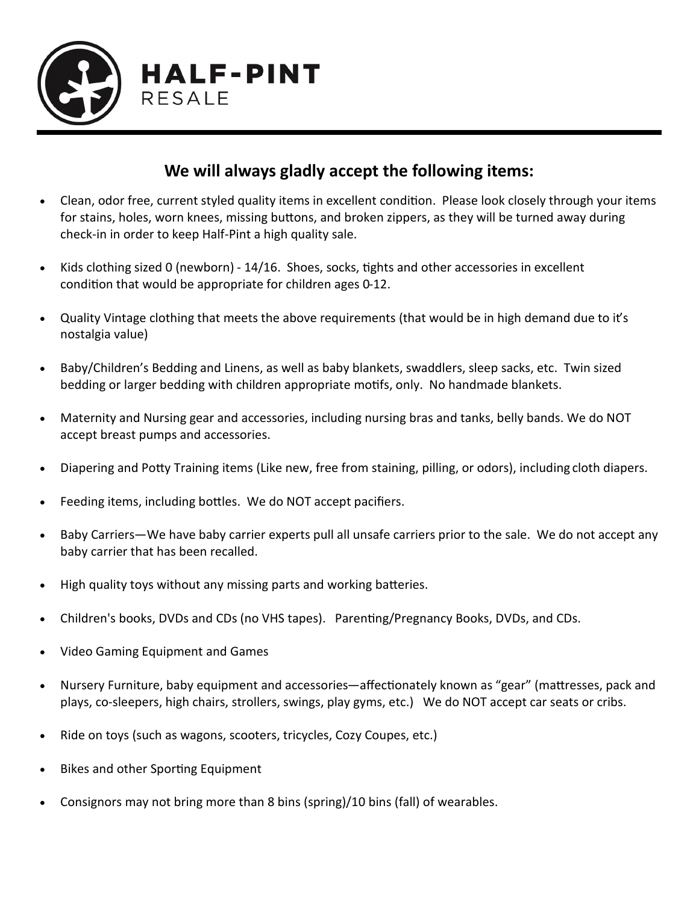

### **We will always gladly accept the following items:**

- Clean, odor free, current styled quality items in excellent condition. Please look closely through your items for stains, holes, worn knees, missing buttons, and broken zippers, as they will be turned away during check-in in order to keep Half-Pint a high quality sale.
- Kids clothing sized 0 (newborn) 14/16. Shoes, socks, tights and other accessories in excellent condition that would be appropriate for children ages 0-12.
- Quality Vintage clothing that meets the above requirements (that would be in high demand due to it's nostalgia value)
- Baby/Children's Bedding and Linens, as well as baby blankets, swaddlers, sleep sacks, etc. Twin sized bedding or larger bedding with children appropriate motifs, only. No handmade blankets.
- Maternity and Nursing gear and accessories, including nursing bras and tanks, belly bands. We do NOT accept breast pumps and accessories.
- Diapering and Potty Training items (Like new, free from staining, pilling, or odors), including cloth diapers.
- Feeding items, including bottles. We do NOT accept pacifiers.
- Baby Carriers—We have baby carrier experts pull all unsafe carriers prior to the sale. We do not accept any baby carrier that has been recalled.
- High quality toys without any missing parts and working batteries.
- Children's books, DVDs and CDs (no VHS tapes). Parenting/Pregnancy Books, DVDs, and CDs.
- Video Gaming Equipment and Games
- Nursery Furniture, baby equipment and accessories—affectionately known as "gear" (mattresses, pack and plays, co-sleepers, high chairs, strollers, swings, play gyms, etc.) We do NOT accept car seats or cribs.
- Ride on toys (such as wagons, scooters, tricycles, Cozy Coupes, etc.)
- Bikes and other Sporting Equipment
- Consignors may not bring more than 8 bins (spring)/10 bins (fall) of wearables.